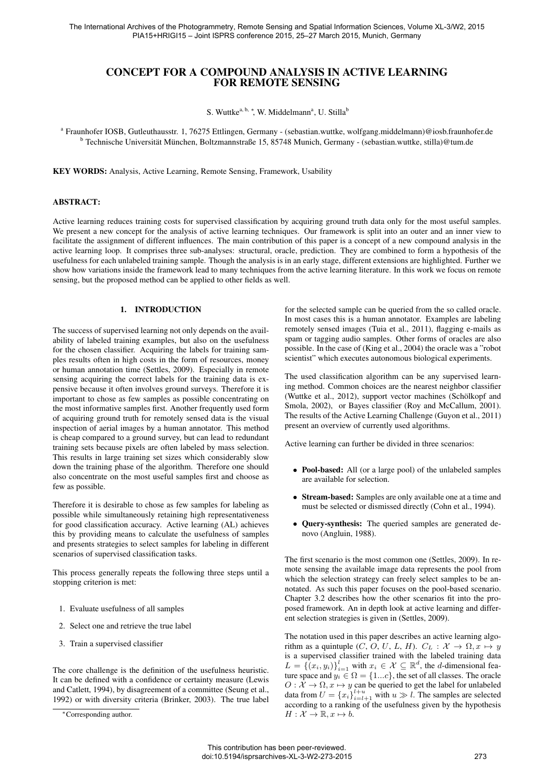# CONCEPT FOR A COMPOUND ANALYSIS IN ACTIVE LEARNING FOR REMOTE SENSING

S. Wuttke<sup>a, b,</sup> \*, W. Middelmann<sup>a</sup>, U. Stilla<sup>b</sup>

a Fraunhofer IOSB, Gutleuthausstr. 1, 76275 Ettlingen, Germany - (sebastian.wuttke, wolfgang.middelmann)@iosb.fraunhofer.de <sup>b</sup> Technische Universität München, Boltzmannstraße 15, 85748 Munich, Germany - (sebastian.wuttke, stilla)@tum.de

KEY WORDS: Analysis, Active Learning, Remote Sensing, Framework, Usability

# ABSTRACT:

Active learning reduces training costs for supervised classification by acquiring ground truth data only for the most useful samples. We present a new concept for the analysis of active learning techniques. Our framework is split into an outer and an inner view to facilitate the assignment of different influences. The main contribution of this paper is a concept of a new compound analysis in the active learning loop. It comprises three sub-analyses: structural, oracle, prediction. They are combined to form a hypothesis of the usefulness for each unlabeled training sample. Though the analysis is in an early stage, different extensions are highlighted. Further we show how variations inside the framework lead to many techniques from the active learning literature. In this work we focus on remote sensing, but the proposed method can be applied to other fields as well.

#### 1. INTRODUCTION

The success of supervised learning not only depends on the availability of labeled training examples, but also on the usefulness for the chosen classifier. Acquiring the labels for training samples results often in high costs in the form of resources, money or human annotation time (Settles, 2009). Especially in remote sensing acquiring the correct labels for the training data is expensive because it often involves ground surveys. Therefore it is important to chose as few samples as possible concentrating on the most informative samples first. Another frequently used form of acquiring ground truth for remotely sensed data is the visual inspection of aerial images by a human annotator. This method is cheap compared to a ground survey, but can lead to redundant training sets because pixels are often labeled by mass selection. This results in large training set sizes which considerably slow down the training phase of the algorithm. Therefore one should also concentrate on the most useful samples first and choose as few as possible.

Therefore it is desirable to chose as few samples for labeling as possible while simultaneously retaining high representativeness for good classification accuracy. Active learning (AL) achieves this by providing means to calculate the usefulness of samples and presents strategies to select samples for labeling in different scenarios of supervised classification tasks.

This process generally repeats the following three steps until a stopping criterion is met:

- 1. Evaluate usefulness of all samples
- 2. Select one and retrieve the true label
- 3. Train a supervised classifier

The core challenge is the definition of the usefulness heuristic. It can be defined with a confidence or certainty measure (Lewis and Catlett, 1994), by disagreement of a committee (Seung et al., 1992) or with diversity criteria (Brinker, 2003). The true label for the selected sample can be queried from the so called oracle. In most cases this is a human annotator. Examples are labeling remotely sensed images (Tuia et al., 2011), flagging e-mails as spam or tagging audio samples. Other forms of oracles are also possible. In the case of (King et al., 2004) the oracle was a "robot scientist" which executes autonomous biological experiments.

The used classification algorithm can be any supervised learning method. Common choices are the nearest neighbor classifier (Wuttke et al., 2012), support vector machines (Schölkopf and Smola, 2002), or Bayes classifier (Roy and McCallum, 2001). The results of the Active Learning Challenge (Guyon et al., 2011) present an overview of currently used algorithms.

Active learning can further be divided in three scenarios:

- Pool-based: All (or a large pool) of the unlabeled samples are available for selection.
- Stream-based: Samples are only available one at a time and must be selected or dismissed directly (Cohn et al., 1994).
- Query-synthesis: The queried samples are generated denovo (Angluin, 1988).

The first scenario is the most common one (Settles, 2009). In remote sensing the available image data represents the pool from which the selection strategy can freely select samples to be annotated. As such this paper focuses on the pool-based scenario. Chapter 3.2 describes how the other scenarios fit into the proposed framework. An in depth look at active learning and different selection strategies is given in (Settles, 2009).

The notation used in this paper describes an active learning algorithm as a quintuple  $(C, O, U, L, H)$ .  $C_L : \mathcal{X} \to \Omega, x \mapsto y$ is a supervised classifier trained with the labeled training data  $L = \{ (x_i, y_i) \}_{i=1}^l$  with  $x_i \in \mathcal{X} \subseteq \mathbb{R}^d$ , the *d*-dimensional feature space and  $y_i \in \Omega = \{1...c\}$ , the set of all classes. The oracle  $O: \mathcal{X} \to \Omega, x \mapsto y$  can be queried to get the label for unlabeled data from  $U = \{x_i\}_{i=l+1}^{l+u}$  with  $u \gg l$ . The samples are selected according to a ranking of the usefulness given by the hypothesis  $H: \mathcal{X} \to \mathbb{R}, x \mapsto b.$ 

<sup>∗</sup>Corresponding author.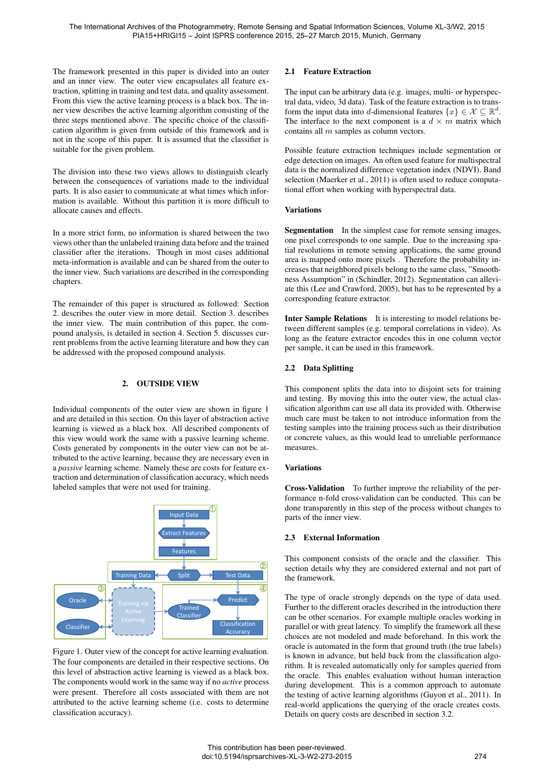The framework presented in this paper is divided into an outer and an inner view. The outer view encapsulates all feature extraction, splitting in training and test data, and quality assessment. From this view the active learning process is a black box. The inner view describes the active learning algorithm consisting of the three steps mentioned above. The specific choice of the classification algorithm is given from outside of this framework and is not in the scope of this paper. It is assumed that the classifier is suitable for the given problem.

The division into these two views allows to distinguish clearly between the consequences of variations made to the individual parts. It is also easier to communicate at what times which information is available. Without this partition it is more difficult to allocate causes and effects.

In a more strict form, no information is shared between the two views other than the unlabeled training data before and the trained classifier after the iterations. Though in most cases additional meta-information is available and can be shared from the outer to the inner view. Such variations are described in the corresponding chapters.

The remainder of this paper is structured as followed: Section 2. describes the outer view in more detail. Section 3. describes the inner view. The main contribution of this paper, the compound analysis, is detailed in section 4. Section 5. discusses current problems from the active learning literature and how they can be addressed with the proposed compound analysis.

## 2. OUTSIDE VIEW

Individual components of the outer view are shown in figure 1 and are detailed in this section. On this layer of abstraction active learning is viewed as a black box. All described components of this view would work the same with a passive learning scheme. Costs generated by components in the outer view can not be attributed to the active learning, because they are necessary even in a *passive* learning scheme. Namely these are costs for feature extraction and determination of classification accuracy, which needs labeled samples that were not used for training.



Figure 1. Outer view of the concept for active learning evaluation. The four components are detailed in their respective sections. On this level of abstraction active learning is viewed as a black box. The components would work in the same way if no *active* process were present. Therefore all costs associated with them are not attributed to the active learning scheme (i.e. costs to determine classification accuracy).

## 2.1 Feature Extraction

The input can be arbitrary data (e.g. images, multi- or hyperspectral data, video, 3d data). Task of the feature extraction is to transform the input data into d-dimensional features  $\{x\} \in \mathcal{X} \subseteq \mathbb{R}^d$ . The interface to the next component is a  $d \times m$  matrix which contains all m samples as column vectors.

Possible feature extraction techniques include segmentation or edge detection on images. An often used feature for multispectral data is the normalized difference vegetation index (NDVI). Band selection (Maerker et al., 2011) is often used to reduce computational effort when working with hyperspectral data.

### Variations

Segmentation In the simplest case for remote sensing images, one pixel corresponds to one sample. Due to the increasing spatial resolutions in remote sensing applications, the same ground area is mapped onto more pixels . Therefore the probability increases that neighbored pixels belong to the same class, "Smoothness Assumption" in (Schindler, 2012). Segmentation can alleviate this (Lee and Crawford, 2005), but has to be represented by a corresponding feature extractor.

Inter Sample Relations It is interesting to model relations between different samples (e.g. temporal correlations in video). As long as the feature extractor encodes this in one column vector per sample, it can be used in this framework.

## 2.2 Data Splitting

This component splits the data into to disjoint sets for training and testing. By moving this into the outer view, the actual classification algorithm can use all data its provided with. Otherwise much care must be taken to not introduce information from the testing samples into the training process such as their distribution or concrete values, as this would lead to unreliable performance measures.

### Variations

Cross-Validation To further improve the reliability of the performance n-fold cross-validation can be conducted. This can be done transparently in this step of the process without changes to parts of the inner view.

### 2.3 External Information

This component consists of the oracle and the classifier. This section details why they are considered external and not part of the framework.

The type of oracle strongly depends on the type of data used. Further to the different oracles described in the introduction there can be other scenarios. For example multiple oracles working in parallel or with great latency. To simplify the framework all these choices are not modeled and made beforehand. In this work the oracle is automated in the form that ground truth (the true labels) is known in advance, but held back from the classification algorithm. It is revealed automatically only for samples queried from the oracle. This enables evaluation without human interaction during development. This is a common approach to automate the testing of active learning algorithms (Guyon et al., 2011). In real-world applications the querying of the oracle creates costs. Details on query costs are described in section 3.2.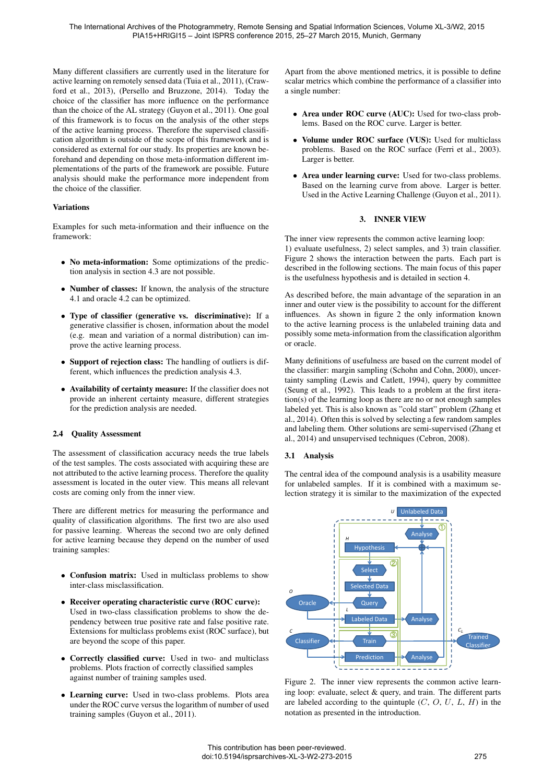Many different classifiers are currently used in the literature for active learning on remotely sensed data (Tuia et al., 2011), (Crawford et al., 2013), (Persello and Bruzzone, 2014). Today the choice of the classifier has more influence on the performance than the choice of the AL strategy (Guyon et al., 2011). One goal of this framework is to focus on the analysis of the other steps of the active learning process. Therefore the supervised classification algorithm is outside of the scope of this framework and is considered as external for our study. Its properties are known beforehand and depending on those meta-information different implementations of the parts of the framework are possible. Future analysis should make the performance more independent from the choice of the classifier.

## Variations

Examples for such meta-information and their influence on the framework:

- No meta-information: Some optimizations of the prediction analysis in section 4.3 are not possible.
- Number of classes: If known, the analysis of the structure 4.1 and oracle 4.2 can be optimized.
- Type of classifier (generative vs. discriminative): If a generative classifier is chosen, information about the model (e.g. mean and variation of a normal distribution) can improve the active learning process.
- Support of rejection class: The handling of outliers is different, which influences the prediction analysis 4.3.
- Availability of certainty measure: If the classifier does not provide an inherent certainty measure, different strategies for the prediction analysis are needed.

### 2.4 Quality Assessment

The assessment of classification accuracy needs the true labels of the test samples. The costs associated with acquiring these are not attributed to the active learning process. Therefore the quality assessment is located in the outer view. This means all relevant costs are coming only from the inner view.

There are different metrics for measuring the performance and quality of classification algorithms. The first two are also used for passive learning. Whereas the second two are only defined for active learning because they depend on the number of used training samples:

- Confusion matrix: Used in multiclass problems to show inter-class misclassification.
- Receiver operating characteristic curve (ROC curve): Used in two-class classification problems to show the dependency between true positive rate and false positive rate. Extensions for multiclass problems exist (ROC surface), but are beyond the scope of this paper.
- Correctly classified curve: Used in two- and multiclass problems. Plots fraction of correctly classified samples against number of training samples used.
- Learning curve: Used in two-class problems. Plots area under the ROC curve versus the logarithm of number of used training samples (Guyon et al., 2011).

Apart from the above mentioned metrics, it is possible to define scalar metrics which combine the performance of a classifier into a single number:

- Area under ROC curve (AUC): Used for two-class problems. Based on the ROC curve. Larger is better.
- Volume under ROC surface (VUS): Used for multiclass problems. Based on the ROC surface (Ferri et al., 2003). Larger is better.
- Area under learning curve: Used for two-class problems. Based on the learning curve from above. Larger is better. Used in the Active Learning Challenge (Guyon et al., 2011).

## 3. INNER VIEW

The inner view represents the common active learning loop: 1) evaluate usefulness, 2) select samples, and 3) train classifier. Figure 2 shows the interaction between the parts. Each part is described in the following sections. The main focus of this paper is the usefulness hypothesis and is detailed in section 4.

As described before, the main advantage of the separation in an inner and outer view is the possibility to account for the different influences. As shown in figure 2 the only information known to the active learning process is the unlabeled training data and possibly some meta-information from the classification algorithm or oracle.

Many definitions of usefulness are based on the current model of the classifier: margin sampling (Schohn and Cohn, 2000), uncertainty sampling (Lewis and Catlett, 1994), query by committee (Seung et al., 1992). This leads to a problem at the first iteration(s) of the learning loop as there are no or not enough samples labeled yet. This is also known as "cold start" problem (Zhang et al., 2014). Often this is solved by selecting a few random samples and labeling them. Other solutions are semi-supervised (Zhang et al., 2014) and unsupervised techniques (Cebron, 2008).

### 3.1 Analysis

The central idea of the compound analysis is a usability measure for unlabeled samples. If it is combined with a maximum selection strategy it is similar to the maximization of the expected



Figure 2. The inner view represents the common active learning loop: evaluate, select & query, and train. The different parts are labeled according to the quintuple  $(C, O, U, L, H)$  in the notation as presented in the introduction.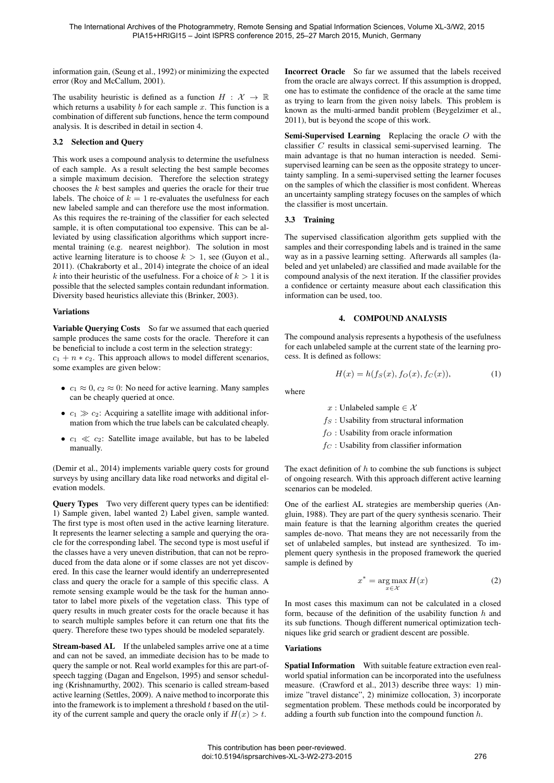information gain, (Seung et al., 1992) or minimizing the expected error (Roy and McCallum, 2001).

The usability heuristic is defined as a function  $H : \mathcal{X} \to \mathbb{R}$ which returns a usability  $b$  for each sample  $x$ . This function is a combination of different sub functions, hence the term compound analysis. It is described in detail in section 4.

#### 3.2 Selection and Query

This work uses a compound analysis to determine the usefulness of each sample. As a result selecting the best sample becomes a simple maximum decision. Therefore the selection strategy chooses the  $k$  best samples and queries the oracle for their true labels. The choice of  $k = 1$  re-evaluates the usefulness for each new labeled sample and can therefore use the most information. As this requires the re-training of the classifier for each selected sample, it is often computational too expensive. This can be alleviated by using classification algorithms which support incremental training (e.g. nearest neighbor). The solution in most active learning literature is to choose  $k > 1$ , see (Guyon et al., 2011). (Chakraborty et al., 2014) integrate the choice of an ideal k into their heuristic of the usefulness. For a choice of  $k > 1$  it is possible that the selected samples contain redundant information. Diversity based heuristics alleviate this (Brinker, 2003).

#### Variations

Variable Querying Costs So far we assumed that each queried sample produces the same costs for the oracle. Therefore it can be beneficial to include a cost term in the selection strategy:

 $c_1 + n * c_2$ . This approach allows to model different scenarios, some examples are given below:

- $c_1 \approx 0$ ,  $c_2 \approx 0$ : No need for active learning. Many samples can be cheaply queried at once.
- $c_1 \gg c_2$ : Acquiring a satellite image with additional information from which the true labels can be calculated cheaply.
- $c_1 \ll c_2$ : Satellite image available, but has to be labeled manually.

(Demir et al., 2014) implements variable query costs for ground surveys by using ancillary data like road networks and digital elevation models.

Query Types Two very different query types can be identified: 1) Sample given, label wanted 2) Label given, sample wanted. The first type is most often used in the active learning literature. It represents the learner selecting a sample and querying the oracle for the corresponding label. The second type is most useful if the classes have a very uneven distribution, that can not be reproduced from the data alone or if some classes are not yet discovered. In this case the learner would identify an underrepresented class and query the oracle for a sample of this specific class. A remote sensing example would be the task for the human annotator to label more pixels of the vegetation class. This type of query results in much greater costs for the oracle because it has to search multiple samples before it can return one that fits the query. Therefore these two types should be modeled separately.

Stream-based AL If the unlabeled samples arrive one at a time and can not be saved, an immediate decision has to be made to query the sample or not. Real world examples for this are part-ofspeech tagging (Dagan and Engelson, 1995) and sensor scheduling (Krishnamurthy, 2002). This scenario is called stream-based active learning (Settles, 2009). A naive method to incorporate this into the framework is to implement a threshold  $t$  based on the utility of the current sample and query the oracle only if  $H(x) > t$ .

Incorrect Oracle So far we assumed that the labels received from the oracle are always correct. If this assumption is dropped, one has to estimate the confidence of the oracle at the same time as trying to learn from the given noisy labels. This problem is known as the multi-armed bandit problem (Beygelzimer et al., 2011), but is beyond the scope of this work.

Semi-Supervised Learning Replacing the oracle O with the classifier C results in classical semi-supervised learning. The main advantage is that no human interaction is needed. Semisupervised learning can be seen as the opposite strategy to uncertainty sampling. In a semi-supervised setting the learner focuses on the samples of which the classifier is most confident. Whereas an uncertainty sampling strategy focuses on the samples of which the classifier is most uncertain.

### 3.3 Training

The supervised classification algorithm gets supplied with the samples and their corresponding labels and is trained in the same way as in a passive learning setting. Afterwards all samples (labeled and yet unlabeled) are classified and made available for the compound analysis of the next iteration. If the classifier provides a confidence or certainty measure about each classification this information can be used, too.

#### 4. COMPOUND ANALYSIS

The compound analysis represents a hypothesis of the usefulness for each unlabeled sample at the current state of the learning process. It is defined as follows:

$$
H(x) = h(f_S(x), f_O(x), f_C(x)),
$$
 (1)

where

x : Unlabeled sample  $\in \mathcal{X}$ 

- $f_S$ : Usability from structural information
- $f_O$ : Usability from oracle information
- $f_C$ : Usability from classifier information

The exact definition of  $h$  to combine the sub functions is subject of ongoing research. With this approach different active learning scenarios can be modeled.

One of the earliest AL strategies are membership queries (Angluin, 1988). They are part of the query synthesis scenario. Their main feature is that the learning algorithm creates the queried samples de-novo. That means they are not necessarily from the set of unlabeled samples, but instead are synthesized. To implement query synthesis in the proposed framework the queried sample is defined by

$$
x^* = \underset{x \in \mathcal{X}}{\text{arg}\max} H(x) \tag{2}
$$

In most cases this maximum can not be calculated in a closed form, because of the definition of the usability function  $h$  and its sub functions. Though different numerical optimization techniques like grid search or gradient descent are possible.

### Variations

Spatial Information With suitable feature extraction even realworld spatial information can be incorporated into the usefulness measure. (Crawford et al., 2013) describe three ways: 1) minimize "travel distance", 2) minimize collocation, 3) incorporate segmentation problem. These methods could be incorporated by adding a fourth sub function into the compound function h.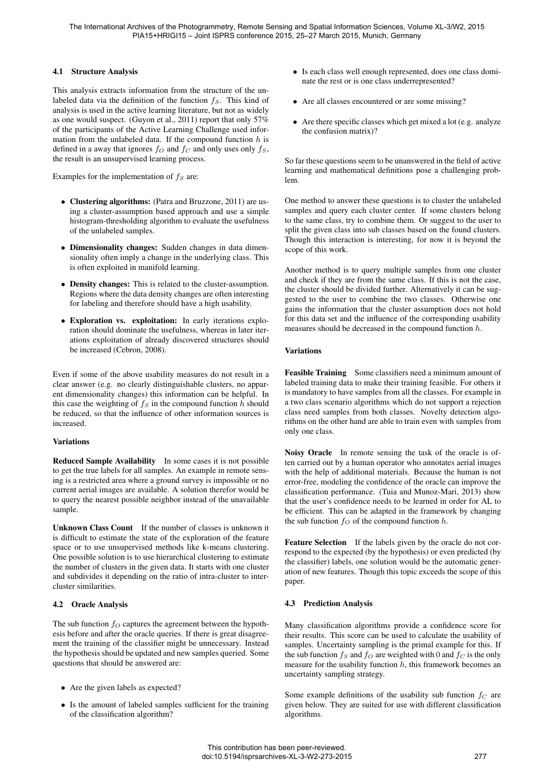## 4.1 Structure Analysis

This analysis extracts information from the structure of the unlabeled data via the definition of the function  $f<sub>S</sub>$ . This kind of analysis is used in the active learning literature, but not as widely as one would suspect. (Guyon et al., 2011) report that only 57% of the participants of the Active Learning Challenge used information from the unlabeled data. If the compound function  $h$  is defined in a away that ignores  $f_{\mathcal{O}}$  and  $f_{\mathcal{C}}$  and only uses only  $f_{\mathcal{S}}$ , the result is an unsupervised learning process.

Examples for the implementation of  $f_S$  are:

- Clustering algorithms: (Patra and Bruzzone, 2011) are using a cluster-assumption based approach and use a simple histogram-thresholding algorithm to evaluate the usefulness of the unlabeled samples.
- Dimensionality changes: Sudden changes in data dimensionality often imply a change in the underlying class. This is often exploited in manifold learning.
- Density changes: This is related to the cluster-assumption. Regions where the data density changes are often interesting for labeling and therefore should have a high usability.
- Exploration vs. exploitation: In early iterations exploration should dominate the usefulness, whereas in later iterations exploitation of already discovered structures should be increased (Cebron, 2008).

Even if some of the above usability measures do not result in a clear answer (e.g. no clearly distinguishable clusters, no apparent dimensionality changes) this information can be helpful. In this case the weighting of  $f<sub>S</sub>$  in the compound function h should be reduced, so that the influence of other information sources is increased.

### Variations

Reduced Sample Availability In some cases it is not possible to get the true labels for all samples. An example in remote sensing is a restricted area where a ground survey is impossible or no current aerial images are available. A solution therefor would be to query the nearest possible neighbor instead of the unavailable sample.

Unknown Class Count If the number of classes is unknown it is difficult to estimate the state of the exploration of the feature space or to use unsupervised methods like k-means clustering. One possible solution is to use hierarchical clustering to estimate the number of clusters in the given data. It starts with one cluster and subdivides it depending on the ratio of intra-cluster to intercluster similarities.

# 4.2 Oracle Analysis

The sub function  $f_O$  captures the agreement between the hypothesis before and after the oracle queries. If there is great disagreement the training of the classifier might be unnecessary. Instead the hypothesis should be updated and new samples queried. Some questions that should be answered are:

- Are the given labels as expected?
- Is the amount of labeled samples sufficient for the training of the classification algorithm?
- Is each class well enough represented, does one class dominate the rest or is one class underrepresented?
- Are all classes encountered or are some missing?
- Are there specific classes which get mixed a lot (e.g. analyze the confusion matrix)?

So far these questions seem to be unanswered in the field of active learning and mathematical definitions pose a challenging problem.

One method to answer these questions is to cluster the unlabeled samples and query each cluster center. If some clusters belong to the same class, try to combine them. Or suggest to the user to split the given class into sub classes based on the found clusters. Though this interaction is interesting, for now it is beyond the scope of this work.

Another method is to query multiple samples from one cluster and check if they are from the same class. If this is not the case, the cluster should be divided further. Alternatively it can be suggested to the user to combine the two classes. Otherwise one gains the information that the cluster assumption does not hold for this data set and the influence of the corresponding usability measures should be decreased in the compound function h.

# Variations

Feasible Training Some classifiers need a minimum amount of labeled training data to make their training feasible. For others it is mandatory to have samples from all the classes. For example in a two class scenario algorithms which do not support a rejection class need samples from both classes. Novelty detection algorithms on the other hand are able to train even with samples from only one class.

Noisy Oracle In remote sensing the task of the oracle is often carried out by a human operator who annotates aerial images with the help of additional materials. Because the human is not error-free, modeling the confidence of the oracle can improve the classification performance. (Tuia and Munoz-Mari, 2013) show that the user's confidence needs to be learned in order for AL to be efficient. This can be adapted in the framework by changing the sub function  $f_O$  of the compound function h.

Feature Selection If the labels given by the oracle do not correspond to the expected (by the hypothesis) or even predicted (by the classifier) labels, one solution would be the automatic generation of new features. Though this topic exceeds the scope of this paper.

# 4.3 Prediction Analysis

Many classification algorithms provide a confidence score for their results. This score can be used to calculate the usability of samples. Uncertainty sampling is the primal example for this. If the sub function  $f_S$  and  $f_O$  are weighted with 0 and  $f_C$  is the only measure for the usability function  $h$ , this framework becomes an uncertainty sampling strategy.

Some example definitions of the usability sub function  $f_C$  are given below. They are suited for use with different classification algorithms.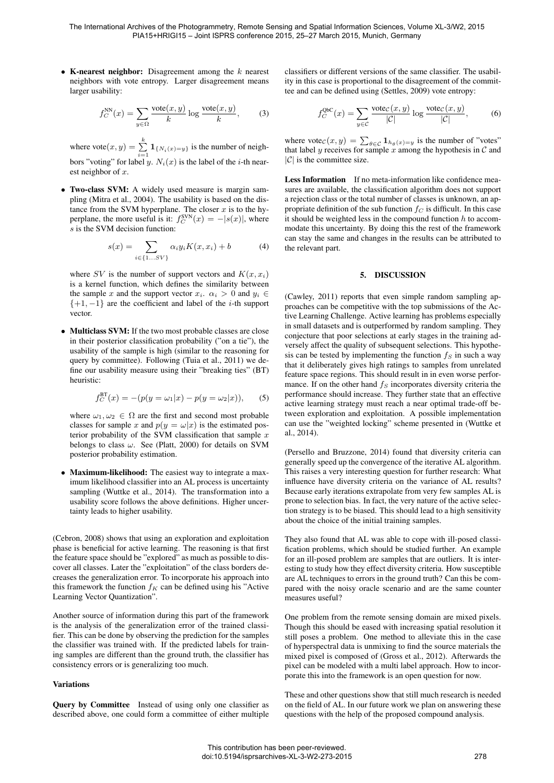• K-nearest neighbor: Disagreement among the  $k$  nearest neighbors with vote entropy. Larger disagreement means larger usability:

$$
f_C^{NN}(x) = \sum_{y \in \Omega} \frac{\text{vote}(x, y)}{k} \log \frac{\text{vote}(x, y)}{k},\qquad(3)
$$

where  $\text{vote}(x, y) = \sum_{i=1}^{k} \mathbf{1}_{\{N_i(x) = y\}}$  is the number of neighbors "voting" for label y.  $N_i(x)$  is the label of the *i*-th nearest neighbor of x.

• Two-class SVM: A widely used measure is margin sampling (Mitra et al., 2004). The usability is based on the distance from the SVM hyperplane. The closer  $x$  is to the hyperplane, the more useful is it:  $f_C^{\text{SVN}}(x) = -|s(x)|$ , where s is the SVM decision function:

$$
s(x) = \sum_{i \in \{1...S V\}} \alpha_i y_i K(x, x_i) + b \tag{4}
$$

where SV is the number of support vectors and  $K(x, x_i)$ is a kernel function, which defines the similarity between the sample x and the support vector  $x_i$ .  $\alpha_i > 0$  and  $y_i \in$  $\{+1, -1\}$  are the coefficient and label of the *i*-th support vector.

• Multiclass SVM: If the two most probable classes are close in their posterior classification probability ("on a tie"), the usability of the sample is high (similar to the reasoning for query by committee). Following (Tuia et al., 2011) we define our usability measure using their "breaking ties" (BT) heuristic:

$$
f_C^{\text{BT}}(x) = -(p(y = \omega_1 | x) - p(y = \omega_2 | x)), \quad (5)
$$

where  $\omega_1, \omega_2 \in \Omega$  are the first and second most probable classes for sample x and  $p(y = \omega|x)$  is the estimated posterior probability of the SVM classification that sample  $x$ belongs to class  $\omega$ . See (Platt, 2000) for details on SVM posterior probability estimation.

• Maximum-likelihood: The easiest way to integrate a maximum likelihood classifier into an AL process is uncertainty sampling (Wuttke et al., 2014). The transformation into a usability score follows the above definitions. Higher uncertainty leads to higher usability.

(Cebron, 2008) shows that using an exploration and exploitation phase is beneficial for active learning. The reasoning is that first the feature space should be "explored" as much as possible to discover all classes. Later the "exploitation" of the class borders decreases the generalization error. To incorporate his approach into this framework the function  $f_K$  can be defined using his "Active" Learning Vector Quantization".

Another source of information during this part of the framework is the analysis of the generalization error of the trained classifier. This can be done by observing the prediction for the samples the classifier was trained with. If the predicted labels for training samples are different than the ground truth, the classifier has consistency errors or is generalizing too much.

#### Variations

Query by Committee Instead of using only one classifier as described above, one could form a committee of either multiple classifiers or different versions of the same classifier. The usability in this case is proportional to the disagreement of the committee and can be defined using (Settles, 2009) vote entropy:

$$
f_C^{QbC}(x) = \sum_{y \in C} \frac{\text{vote}_C(x, y)}{|\mathcal{C}|} \log \frac{\text{vote}_C(x, y)}{|\mathcal{C}|},\tag{6}
$$

where vote<sub>C</sub> $(x, y) = \sum_{\theta \in C} \mathbf{1}_{h_{\theta}(x)=y}$  is the number of "votes" that label y receives for sample x among the hypothesis in  $\mathcal C$  and  $|C|$  is the committee size.

Less Information If no meta-information like confidence measures are available, the classification algorithm does not support a rejection class or the total number of classes is unknown, an appropriate definition of the sub function  $f_C$  is difficult. In this case it should be weighted less in the compound function  $h$  to accommodate this uncertainty. By doing this the rest of the framework can stay the same and changes in the results can be attributed to the relevant part.

#### 5. DISCUSSION

(Cawley, 2011) reports that even simple random sampling approaches can be competitive with the top submissions of the Active Learning Challenge. Active learning has problems especially in small datasets and is outperformed by random sampling. They conjecture that poor selections at early stages in the training adversely affect the quality of subsequent selections. This hypothesis can be tested by implementing the function  $f<sub>S</sub>$  in such a way that it deliberately gives high ratings to samples from unrelated feature space regions. This should result in in even worse performance. If on the other hand  $f<sub>S</sub>$  incorporates diversity criteria the performance should increase. They further state that an effective active learning strategy must reach a near optimal trade-off between exploration and exploitation. A possible implementation can use the "weighted locking" scheme presented in (Wuttke et al., 2014).

(Persello and Bruzzone, 2014) found that diversity criteria can generally speed up the convergence of the iterative AL algorithm. This raises a very interesting question for further research: What influence have diversity criteria on the variance of AL results? Because early iterations extrapolate from very few samples AL is prone to selection bias. In fact, the very nature of the active selection strategy is to be biased. This should lead to a high sensitivity about the choice of the initial training samples.

They also found that AL was able to cope with ill-posed classification problems, which should be studied further. An example for an ill-posed problem are samples that are outliers. It is interesting to study how they effect diversity criteria. How susceptible are AL techniques to errors in the ground truth? Can this be compared with the noisy oracle scenario and are the same counter measures useful?

One problem from the remote sensing domain are mixed pixels. Though this should be eased with increasing spatial resolution it still poses a problem. One method to alleviate this in the case of hyperspectral data is unmixing to find the source materials the mixed pixel is composed of (Gross et al., 2012). Afterwards the pixel can be modeled with a multi label approach. How to incorporate this into the framework is an open question for now.

These and other questions show that still much research is needed on the field of AL. In our future work we plan on answering these questions with the help of the proposed compound analysis.